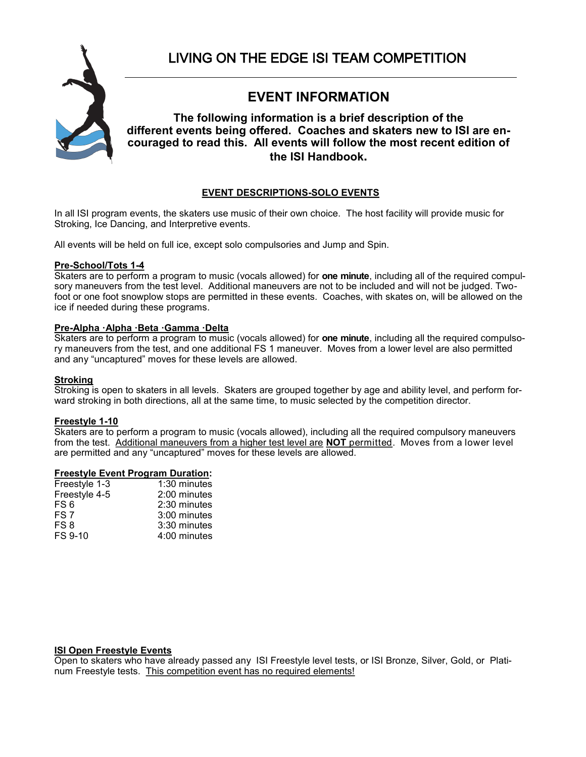

# **EVENT INFORMATION**

## **The following information is a brief description of the different events being offered. Coaches and skaters new to ISI are encouraged to read this. All events will follow the most recent edition of the ISI Handbook.**

## **EVENT DESCRIPTIONS-SOLO EVENTS**

In all ISI program events, the skaters use music of their own choice. The host facility will provide music for Stroking, Ice Dancing, and Interpretive events.

All events will be held on full ice, except solo compulsories and Jump and Spin.

## **Pre-School/Tots 1-4**

Skaters are to perform a program to music (vocals allowed) for **one minute**, including all of the required compulsory maneuvers from the test level. Additional maneuvers are not to be included and will not be judged. Twofoot or one foot snowplow stops are permitted in these events. Coaches, with skates on, will be allowed on the ice if needed during these programs.

## **Pre-Alpha ·Alpha ·Beta ·Gamma ·Delta**

Skaters are to perform a program to music (vocals allowed) for **one minute**, including all the required compulsory maneuvers from the test, and one additional FS 1 maneuver. Moves from a lower level are also permitted and any "uncaptured" moves for these levels are allowed.

## **Stroking**

Stroking is open to skaters in all levels. Skaters are grouped together by age and ability level, and perform forward stroking in both directions, all at the same time, to music selected by the competition director.

## **Freestyle 1-10**

Skaters are to perform a program to music (vocals allowed), including all the required compulsory maneuvers from the test. Additional maneuvers from a higher test level are **NOT** permitted. Moves from a lower level are permitted and any "uncaptured" moves for these levels are allowed.

## **Freestyle Event Program Duration:**

| Freestyle 1-3 | $1:30$ minutes |
|---------------|----------------|
| Freestyle 4-5 | 2:00 minutes   |
| FS 6          | 2:30 minutes   |
| FS 7          | 3:00 minutes   |
| FS 8          | 3:30 minutes   |
| FS 9-10       | 4:00 minutes   |
|               |                |

#### **ISI Open Freestyle Events**

Open to skaters who have already passed any ISI Freestyle level tests, or ISI Bronze, Silver, Gold, or Platinum Freestyle tests. This competition event has no required elements!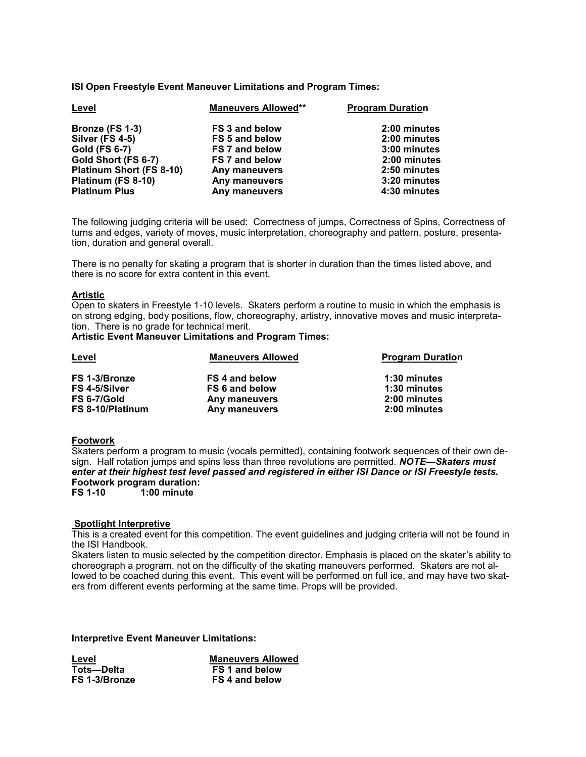**ISI Open Freestyle Event Maneuver Limitations and Program Times:**

| Level                           | <b>Maneuvers Allowed**</b> | <b>Program Duration</b> |
|---------------------------------|----------------------------|-------------------------|
| Bronze (FS 1-3)                 | <b>FS 3 and below</b>      | 2:00 minutes            |
| Silver (FS 4-5)                 | <b>FS 5 and below</b>      | 2:00 minutes            |
| <b>Gold (FS 6-7)</b>            | <b>FS 7 and below</b>      | 3:00 minutes            |
| Gold Short (FS 6-7)             | <b>FS 7 and below</b>      | 2:00 minutes            |
| <b>Platinum Short (FS 8-10)</b> | Any maneuvers              | 2:50 minutes            |
| Platinum (FS 8-10)              | Any maneuvers              | 3:20 minutes            |
| <b>Platinum Plus</b>            | Any maneuvers              | 4:30 minutes            |

The following judging criteria will be used: Correctness of jumps, Correctness of Spins, Correctness of turns and edges, variety of moves, music interpretation, choreography and pattern, posture, presentation, duration and general overall.

There is no penalty for skating a program that is shorter in duration than the times listed above, and there is no score for extra content in this event.

#### **Artistic**

Open to skaters in Freestyle 1-10 levels. Skaters perform a routine to music in which the emphasis is on strong edging, body positions, flow, choreography, artistry, innovative moves and music interpretation. There is no grade for technical merit.

**Artistic Event Maneuver Limitations and Program Times:** 

| Level            | <b>Maneuvers Allowed</b> | <b>Program Duration</b> |
|------------------|--------------------------|-------------------------|
| FS 1-3/Bronze    | FS 4 and below           | 1:30 minutes            |
| FS 4-5/Silver    | <b>FS 6 and below</b>    | 1:30 minutes            |
| FS 6-7/Gold      | Any maneuvers            | 2:00 minutes            |
| FS 8-10/Platinum | Any maneuvers            | 2:00 minutes            |

#### **Footwork**

Skaters perform a program to music (vocals permitted), containing footwork sequences of their own design. Half rotation jumps and spins less than three revolutions are permitted. *NOTE—Skaters must enter at their highest test level passed and registered in either ISI Dance or ISI Freestyle tests.* **Footwork program duration:**

**FS 1-10 1:00 minute**

#### **Spotlight Interpretive**

This is a created event for this competition. The event guidelines and judging criteria will not be found in the ISI Handbook.

Skaters listen to music selected by the competition director. Emphasis is placed on the skater's ability to choreograph a program, not on the difficulty of the skating maneuvers performed. Skaters are not allowed to be coached during this event. This event will be performed on full ice, and may have two skaters from different events performing at the same time. Props will be provided.

**Interpretive Event Maneuver Limitations:**

| Level         | <b>Maneuvers Allowed</b> |
|---------------|--------------------------|
| Tots—Delta    | FS 1 and below           |
| FS 1-3/Bronze | FS 4 and below           |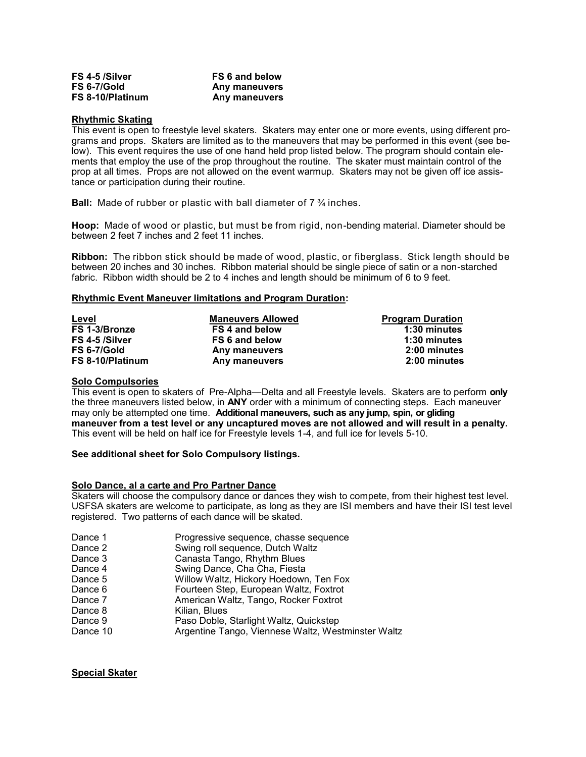| FS 4-5 /Silver   | FS 6 and below |
|------------------|----------------|
| FS 6-7/Gold      | Any maneuvers  |
| FS 8-10/Platinum | Any maneuvers  |

#### **Rhythmic Skating**

This event is open to freestyle level skaters. Skaters may enter one or more events, using different programs and props. Skaters are limited as to the maneuvers that may be performed in this event (see below). This event requires the use of one hand held prop listed below. The program should contain elements that employ the use of the prop throughout the routine. The skater must maintain control of the prop at all times. Props are not allowed on the event warmup. Skaters may not be given off ice assistance or participation during their routine.

**Ball:** Made of rubber or plastic with ball diameter of 7 ¾ inches.

**Hoop:** Made of wood or plastic, but must be from rigid, non-bending material. Diameter should be between 2 feet 7 inches and 2 feet 11 inches.

**Ribbon:** The ribbon stick should be made of wood, plastic, or fiberglass. Stick length should be between 20 inches and 30 inches. Ribbon material should be single piece of satin or a non-starched fabric. Ribbon width should be 2 to 4 inches and length should be minimum of 6 to 9 feet.

#### **Rhythmic Event Maneuver limitations and Program Duration:**

| Level            | <b>Maneuvers Allowed</b> | <b>Program Duration</b> |
|------------------|--------------------------|-------------------------|
| FS 1-3/Bronze    | FS 4 and below           | 1:30 minutes            |
| FS 4-5 /Silver   | FS 6 and below           | 1:30 minutes            |
| FS 6-7/Gold      | Any maneuvers            | 2:00 minutes            |
| FS 8-10/Platinum | Any maneuvers            | 2:00 minutes            |

#### **Solo Compulsories**

This event is open to skaters of Pre-Alpha—Delta and all Freestyle levels. Skaters are to perform **only** the three maneuvers listed below, in **ANY** order with a minimum of connecting steps. Each maneuver may only be attempted one time. **Additional maneuvers, such as any jump, spin, or gliding maneuver from a test level or any uncaptured moves are not allowed and will result in a penalty.** This event will be held on half ice for Freestyle levels 1-4, and full ice for levels 5-10.

#### **See additional sheet for Solo Compulsory listings.**

#### **Solo Dance, al a carte and Pro Partner Dance**

Skaters will choose the compulsory dance or dances they wish to compete, from their highest test level. USFSA skaters are welcome to participate, as long as they are ISI members and have their ISI test level registered. Two patterns of each dance will be skated.

| Dance 1  | Progressive sequence, chasse sequence              |
|----------|----------------------------------------------------|
| Dance 2  | Swing roll sequence, Dutch Waltz                   |
| Dance 3  | Canasta Tango, Rhythm Blues                        |
| Dance 4  | Swing Dance, Cha Cha, Fiesta                       |
| Dance 5  | Willow Waltz, Hickory Hoedown, Ten Fox             |
| Dance 6  | Fourteen Step, European Waltz, Foxtrot             |
| Dance 7  | American Waltz, Tango, Rocker Foxtrot              |
| Dance 8  | Kilian, Blues                                      |
| Dance 9  | Paso Doble, Starlight Waltz, Quickstep             |
| Dance 10 | Argentine Tango, Viennese Waltz, Westminster Waltz |
|          |                                                    |

## **Special Skater**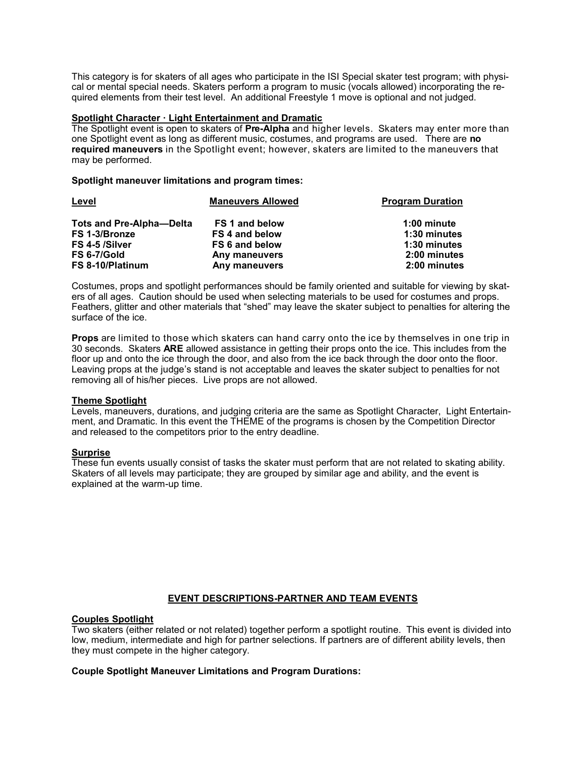This category is for skaters of all ages who participate in the ISI Special skater test program; with physical or mental special needs. Skaters perform a program to music (vocals allowed) incorporating the required elements from their test level. An additional Freestyle 1 move is optional and not judged.

#### **Spotlight Character · Light Entertainment and Dramatic**

The Spotlight event is open to skaters of **Pre-Alpha** and higher levels. Skaters may enter more than one Spotlight event as long as different music, costumes, and programs are used. There are **no required maneuvers** in the Spotlight event; however, skaters are limited to the maneuvers that may be performed.

#### **Spotlight maneuver limitations and program times:**

| Level                            | <b>Maneuvers Allowed</b> | <b>Program Duration</b> |
|----------------------------------|--------------------------|-------------------------|
| <b>Tots and Pre-Alpha--Delta</b> | <b>FS 1 and below</b>    | 1:00 minute             |
| FS 1-3/Bronze                    | FS 4 and below           | 1:30 minutes            |
| FS 4-5 /Silver                   | FS 6 and below           | 1:30 minutes            |
| FS 6-7/Gold                      | Any maneuvers            | 2:00 minutes            |
| FS 8-10/Platinum                 | Any maneuvers            | 2:00 minutes            |

Costumes, props and spotlight performances should be family oriented and suitable for viewing by skaters of all ages. Caution should be used when selecting materials to be used for costumes and props. Feathers, glitter and other materials that "shed" may leave the skater subject to penalties for altering the surface of the ice.

**Props** are limited to those which skaters can hand carry onto the ice by themselves in one trip in 30 seconds. Skaters **ARE** allowed assistance in getting their props onto the ice. This includes from the floor up and onto the ice through the door, and also from the ice back through the door onto the floor. Leaving props at the judge's stand is not acceptable and leaves the skater subject to penalties for not removing all of his/her pieces. Live props are not allowed.

## **Theme Spotlight**

Levels, maneuvers, durations, and judging criteria are the same as Spotlight Character, Light Entertainment, and Dramatic. In this event the THEME of the programs is chosen by the Competition Director and released to the competitors prior to the entry deadline.

## **Surprise**

These fun events usually consist of tasks the skater must perform that are not related to skating ability. Skaters of all levels may participate; they are grouped by similar age and ability, and the event is explained at the warm-up time.

## **EVENT DESCRIPTIONS-PARTNER AND TEAM EVENTS**

#### **Couples Spotlight**

Two skaters (either related or not related) together perform a spotlight routine. This event is divided into low, medium, intermediate and high for partner selections. If partners are of different ability levels, then they must compete in the higher category.

## **Couple Spotlight Maneuver Limitations and Program Durations:**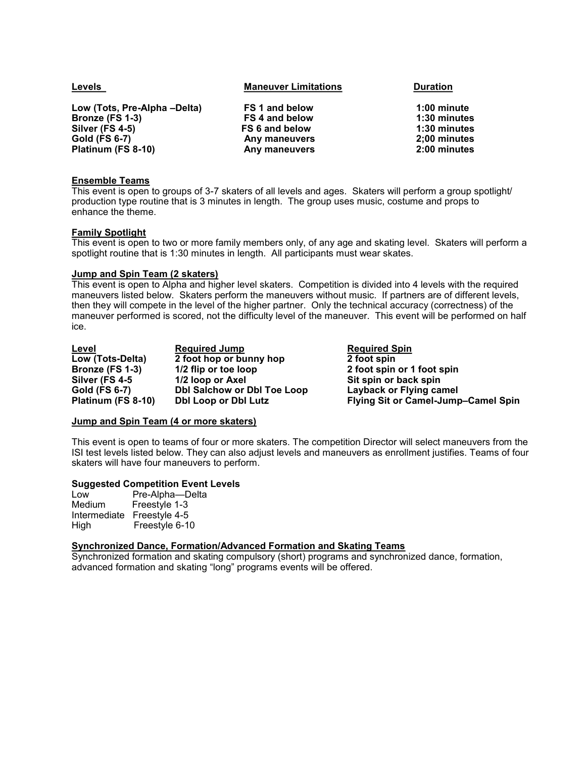| Levels                       | <b>Maneuver Limitations</b> | <b>Duration</b> |
|------------------------------|-----------------------------|-----------------|
| Low (Tots, Pre-Alpha -Delta) | <b>FS 1 and below</b>       | 1:00 minute     |
| Bronze (FS 1-3)              | FS 4 and below              | 1:30 minutes    |
| <b>Silver (FS 4-5)</b>       | FS 6 and below              | 1:30 minutes    |
| <b>Gold (FS 6-7)</b>         | Any maneuvers               | 2;00 minutes    |
| Platinum (FS 8-10)           | Any maneuvers               | 2:00 minutes    |
|                              |                             |                 |

## **Ensemble Teams**

This event is open to groups of 3-7 skaters of all levels and ages. Skaters will perform a group spotlight/ production type routine that is 3 minutes in length. The group uses music, costume and props to enhance the theme.

#### **Family Spotlight**

This event is open to two or more family members only, of any age and skating level. Skaters will perform a spotlight routine that is 1:30 minutes in length. All participants must wear skates.

#### **Jump and Spin Team (2 skaters)**

This event is open to Alpha and higher level skaters. Competition is divided into 4 levels with the required maneuvers listed below. Skaters perform the maneuvers without music. If partners are of different levels, then they will compete in the level of the higher partner. Only the technical accuracy (correctness) of the maneuver performed is scored, not the difficulty level of the maneuver. This event will be performed on half ice.

| Level              | <b>Required Jump</b>               |
|--------------------|------------------------------------|
| Low (Tots-Delta)   | 2 foot hop or bunny hop            |
| Bronze (FS 1-3)    | 1/2 flip or toe loop               |
| Silver (FS 4-5     | 1/2 loop or Axel                   |
| Gold (FS 6-7)      | <b>Dbl Salchow or Dbl Toe Loop</b> |
| Platinum (FS 8-10) | <b>Dbl Loop or Dbl Lutz</b>        |

**Required Spin 2 foot spin Bronze (FS 1-3) 1/2 flip or toe loop 2 foot spin or 1 foot spin Sit spin or back spin Layback or Flying camel Plying Sit or Camel-Jump–Camel Spin** 

## **Jump and Spin Team (4 or more skaters)**

This event is open to teams of four or more skaters. The competition Director will select maneuvers from the ISI test levels listed below. They can also adjust levels and maneuvers as enrollment justifies. Teams of four skaters will have four maneuvers to perform.

#### **Suggested Competition Event Levels**

| Pre-Alpha-Delta |
|-----------------|
| Freestyle 1-3   |
| Freestyle 4-5   |
| Freestyle 6-10  |
|                 |

## **Synchronized Dance, Formation/Advanced Formation and Skating Teams**

Synchronized formation and skating compulsory (short) programs and synchronized dance, formation, advanced formation and skating "long" programs events will be offered.